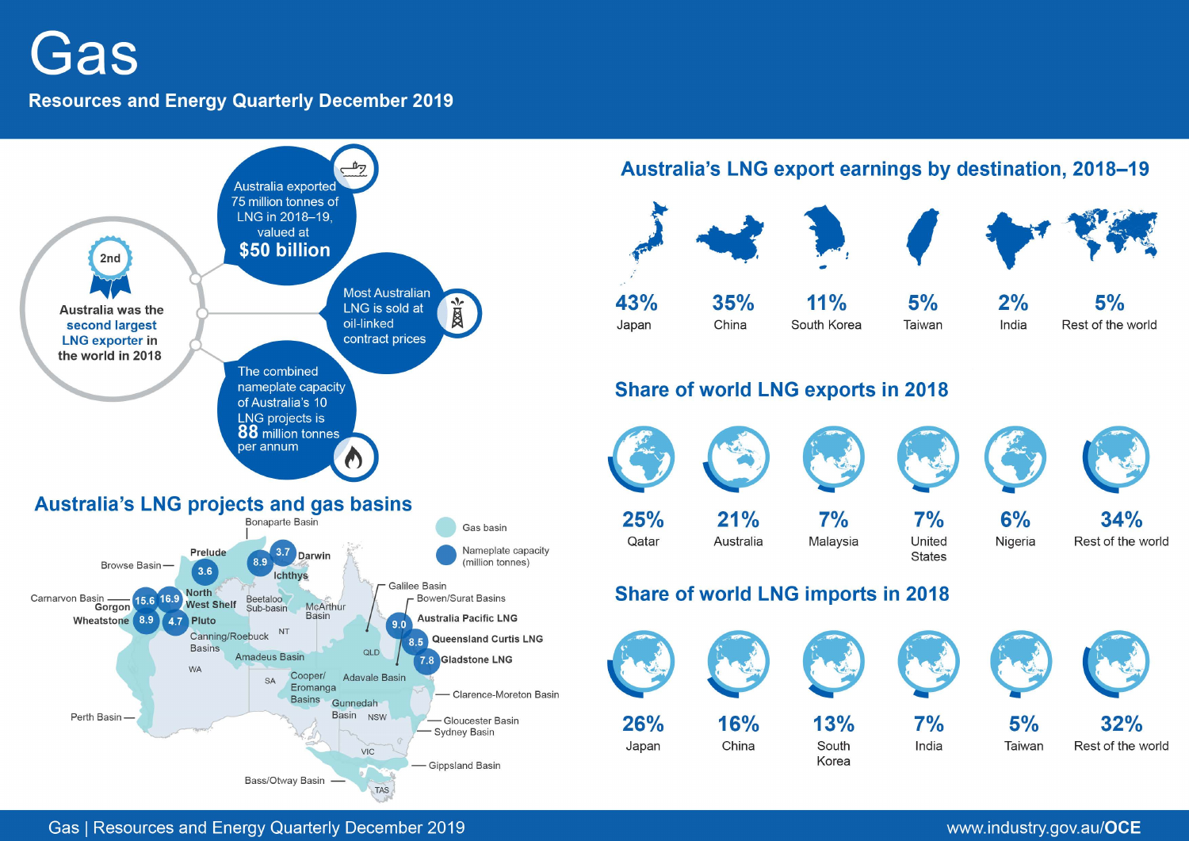Gas

# **Resources and Energy Quarterly December 2019**



Australia's LNG export earnings by destination, 2018-19

| 43%   | 35%   | 11%         | 5%     | 2%    | 5%                |
|-------|-------|-------------|--------|-------|-------------------|
| Japan | China | South Korea | Taiwan | India | Rest of the world |

# **Share of world LNG exports in 2018**



# Share of world LNG imports in 2018



Gas | Resources and Energy Quarterly December 2019

# www.industry.gov.au/OCE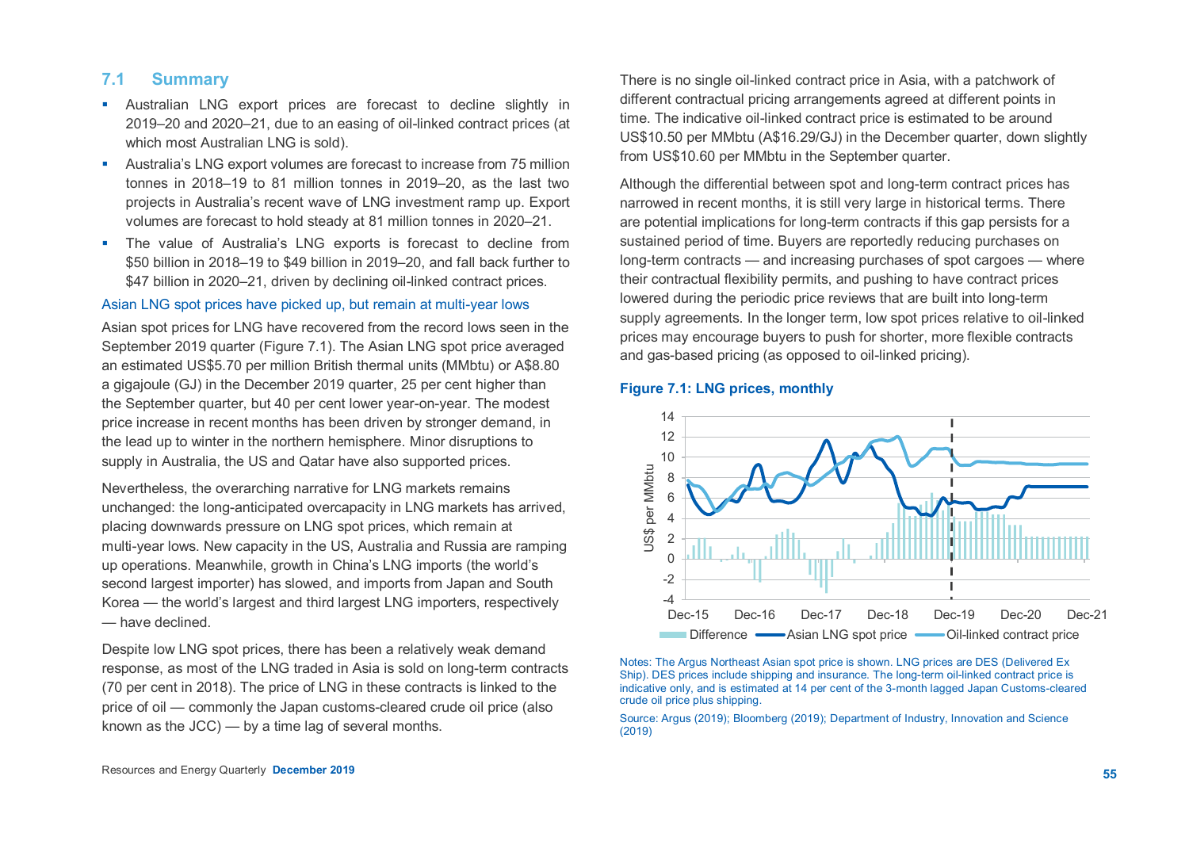# **7.1 Summary**

- Australian LNG export prices are forecast to decline slightly in 2019–20 and 2020–21, due to an easing of oil-linked contract prices (at which most Australian LNG is sold).
- Australia's LNG export volumes are forecast to increase from 75 million tonnes in 2018–19 to 81 million tonnes in 2019–20, as the last two projects in Australia's recent wave of LNG investment ramp up. Export volumes are forecast to hold steady at 81 million tonnes in 2020–21.
- **The value of Australia's LNG exports is forecast to decline from** \$50 billion in 2018–19 to \$49 billion in 2019–20, and fall back further to \$47 billion in 2020–21, driven by declining oil-linked contract prices.

#### Asian LNG spot prices have picked up, but remain at multi-year lows

Asian spot prices for LNG have recovered from the record lows seen in the September 2019 quarter (Figure 7.1). The Asian LNG spot price averaged an estimated US\$5.70 per million British thermal units (MMbtu) or A\$8.80 a gigajoule (GJ) in the December 2019 quarter, 25 per cent higher than the September quarter, but 40 per cent lower year-on-year. The modest price increase in recent months has been driven by stronger demand, in the lead up to winter in the northern hemisphere. Minor disruptions to supply in Australia, the US and Qatar have also supported prices.

Nevertheless, the overarching narrative for LNG markets remains unchanged: the long-anticipated overcapacity in LNG markets has arrived, placing downwards pressure on LNG spot prices, which remain at multi-year lows. New capacity in the US, Australia and Russia are ramping up operations. Meanwhile, growth in China's LNG imports (the world's second largest importer) has slowed, and imports from Japan and South Korea — the world's largest and third largest LNG importers, respectively — have declined.

Despite low LNG spot prices, there has been a relatively weak demand response, as most of the LNG traded in Asia is sold on long-term contracts (70 per cent in 2018). The price of LNG in these contracts is linked to the price of oil — commonly the Japan customs-cleared crude oil price (also known as the JCC) — by a time lag of several months.

There is no single oil-linked contract price in Asia, with a patchwork of different contractual pricing arrangements agreed at different points in time. The indicative oil-linked contract price is estimated to be around US\$10.50 per MMbtu (A\$16.29/GJ) in the December quarter, down slightly from US\$10.60 per MMbtu in the September quarter.

Although the differential between spot and long-term contract prices has narrowed in recent months, it is still very large in historical terms. There are potential implications for long-term contracts if this gap persists for a sustained period of time. Buyers are reportedly reducing purchases on long-term contracts — and increasing purchases of spot cargoes — where their contractual flexibility permits, and pushing to have contract prices lowered during the periodic price reviews that are built into long-term supply agreements. In the longer term, low spot prices relative to oil-linked prices may encourage buyers to push for shorter, more flexible contracts and gas-based pricing (as opposed to oil-linked pricing).

## **Figure 7.1: LNG prices, monthly**



Notes: The Argus Northeast Asian spot price is shown. LNG prices are DES (Delivered Ex Ship). DES prices include shipping and insurance. The long-term oil-linked contract price is indicative only, and is estimated at 14 per cent of the 3-month lagged Japan Customs-cleared crude oil price plus shipping.

Source: Argus (2019); Bloomberg (2019); Department of Industry, Innovation and Science (2019)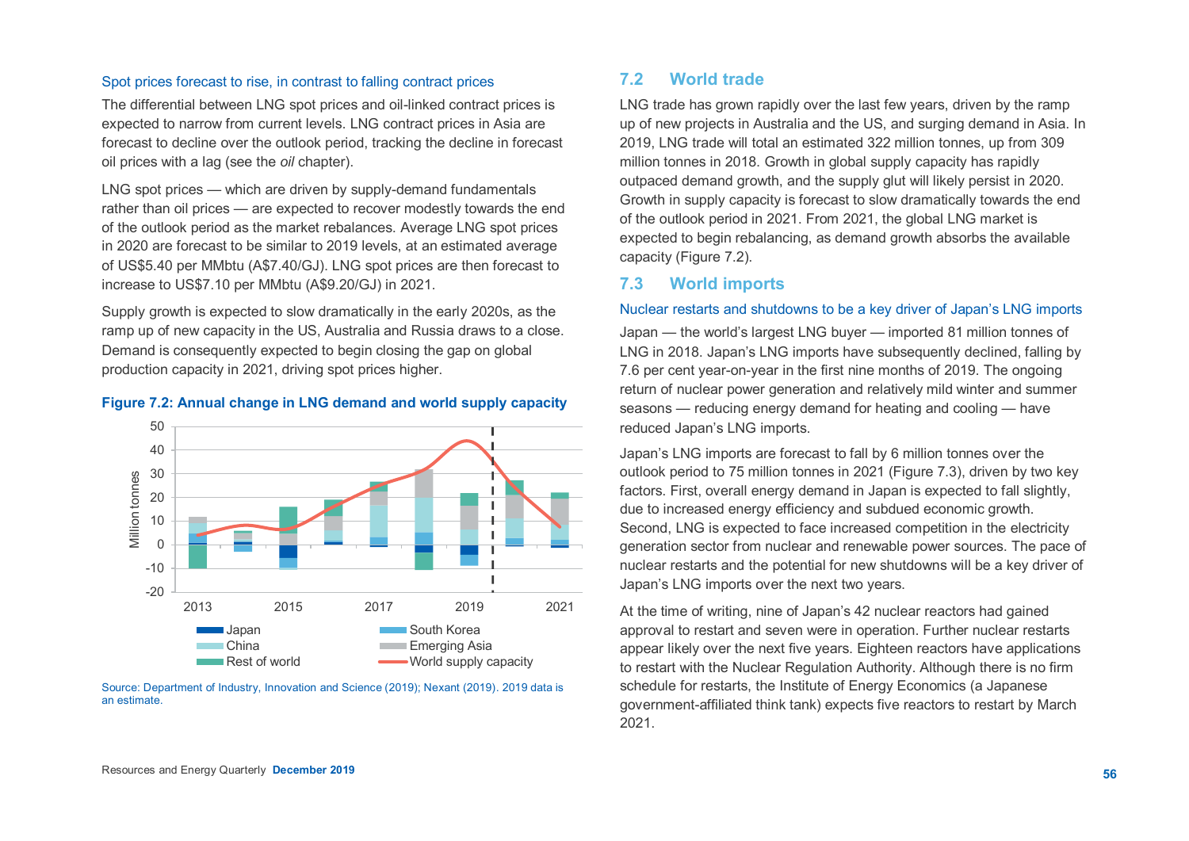# Spot prices forecast to rise, in contrast to falling contract prices

The differential between LNG spot prices and oil-linked contract prices is expected to narrow from current levels. LNG contract prices in Asia are forecast to decline over the outlook period, tracking the decline in forecast oil prices with a lag (see the *oil* chapter).

LNG spot prices — which are driven by supply-demand fundamentals rather than oil prices — are expected to recover modestly towards the end of the outlook period as the market rebalances. Average LNG spot prices in 2020 are forecast to be similar to 2019 levels, at an estimated average of US\$5.40 per MMbtu (A\$7.40/GJ). LNG spot prices are then forecast to increase to US\$7.10 per MMbtu (A\$9.20/GJ) in 2021.

Supply growth is expected to slow dramatically in the early 2020s, as the ramp up of new capacity in the US, Australia and Russia draws to a close. Demand is consequently expected to begin closing the gap on global production capacity in 2021, driving spot prices higher.

#### **Figure 7.2: Annual change in LNG demand and world supply capacity**



Source: Department of Industry, Innovation and Science (2019); Nexant (2019). 2019 data is an estimate.

# **7.2 World trade**

LNG trade has grown rapidly over the last few years, driven by the ramp up of new projects in Australia and the US, and surging demand in Asia. In 2019, LNG trade will total an estimated 322 million tonnes, up from 309 million tonnes in 2018. Growth in global supply capacity has rapidly outpaced demand growth, and the supply glut will likely persist in 2020. Growth in supply capacity is forecast to slow dramatically towards the end of the outlook period in 2021. From 2021, the global LNG market is expected to begin rebalancing, as demand growth absorbs the available capacity (Figure 7.2).

# **7.3 World imports**

# Nuclear restarts and shutdowns to be a key driver of Japan's LNG imports

Japan — the world's largest LNG buyer — imported 81 million tonnes of LNG in 2018. Japan's LNG imports have subsequently declined, falling by 7.6 per cent year-on-year in the first nine months of 2019. The ongoing return of nuclear power generation and relatively mild winter and summer seasons — reducing energy demand for heating and cooling — have reduced Japan's LNG imports.

Japan's LNG imports are forecast to fall by 6 million tonnes over the outlook period to 75 million tonnes in 2021 (Figure 7.3), driven by two key factors. First, overall energy demand in Japan is expected to fall slightly, due to increased energy efficiency and subdued economic growth. Second, LNG is expected to face increased competition in the electricity generation sector from nuclear and renewable power sources. The pace of nuclear restarts and the potential for new shutdowns will be a key driver of Japan's LNG imports over the next two years.

At the time of writing, nine of Japan's 42 nuclear reactors had gained approval to restart and seven were in operation. Further nuclear restarts appear likely over the next five years. Eighteen reactors have applications to restart with the Nuclear Regulation Authority. Although there is no firm schedule for restarts, the Institute of Energy Economics (a Japanese government-affiliated think tank) expects five reactors to restart by March 2021.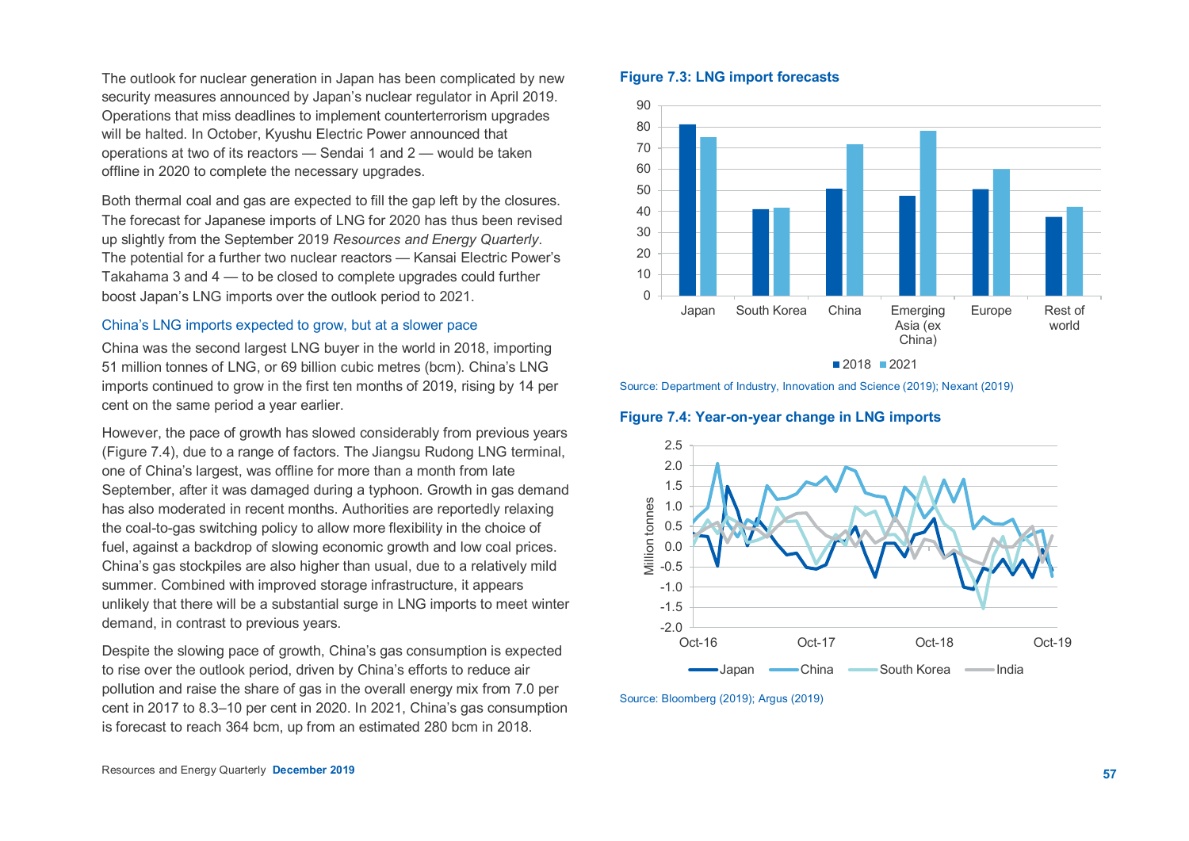The outlook for nuclear generation in Japan has been complicated by new security measures announced by Japan's nuclear regulator in April 2019. Operations that miss deadlines to implement counterterrorism upgrades will be halted. In October, Kyushu Electric Power announced that operations at two of its reactors — Sendai 1 and 2 — would be taken offline in 2020 to complete the necessary upgrades.

Both thermal coal and gas are expected to fill the gap left by the closures. The forecast for Japanese imports of LNG for 2020 has thus been revised up slightly from the September 2019 *Resources and Energy Quarterly*. The potential for a further two nuclear reactors — Kansai Electric Power's Takahama 3 and 4 — to be closed to complete upgrades could further boost Japan's LNG imports over the outlook period to 2021.

## China's LNG imports expected to grow, but at a slower pace

China was the second largest LNG buyer in the world in 2018, importing 51 million tonnes of LNG, or 69 billion cubic metres (bcm). China's LNG imports continued to grow in the first ten months of 2019, rising by 14 per cent on the same period a year earlier.

However, the pace of growth has slowed considerably from previous years (Figure 7.4), due to a range of factors. The Jiangsu Rudong LNG terminal, one of China's largest, was offline for more than a month from late September, after it was damaged during a typhoon. Growth in gas demand has also moderated in recent months. Authorities are reportedly relaxing the coal-to-gas switching policy to allow more flexibility in the choice of fuel, against a backdrop of slowing economic growth and low coal prices. China's gas stockpiles are also higher than usual, due to a relatively mild summer. Combined with improved storage infrastructure, it appears unlikely that there will be a substantial surge in LNG imports to meet winter demand, in contrast to previous years.

Despite the slowing pace of growth, China's gas consumption is expected to rise over the outlook period, driven by China's efforts to reduce air pollution and raise the share of gas in the overall energy mix from 7.0 per cent in 2017 to 8.3–10 per cent in 2020. In 2021, China's gas consumption is forecast to reach 364 bcm, up from an estimated 280 bcm in 2018.

# **Figure 7.3: LNG import forecasts**



■2018 2021

Source: Department of Industry, Innovation and Science (2019); Nexant (2019)

#### **Figure 7.4: Year-on-year change in LNG imports**



Source: Bloomberg (2019); Argus (2019)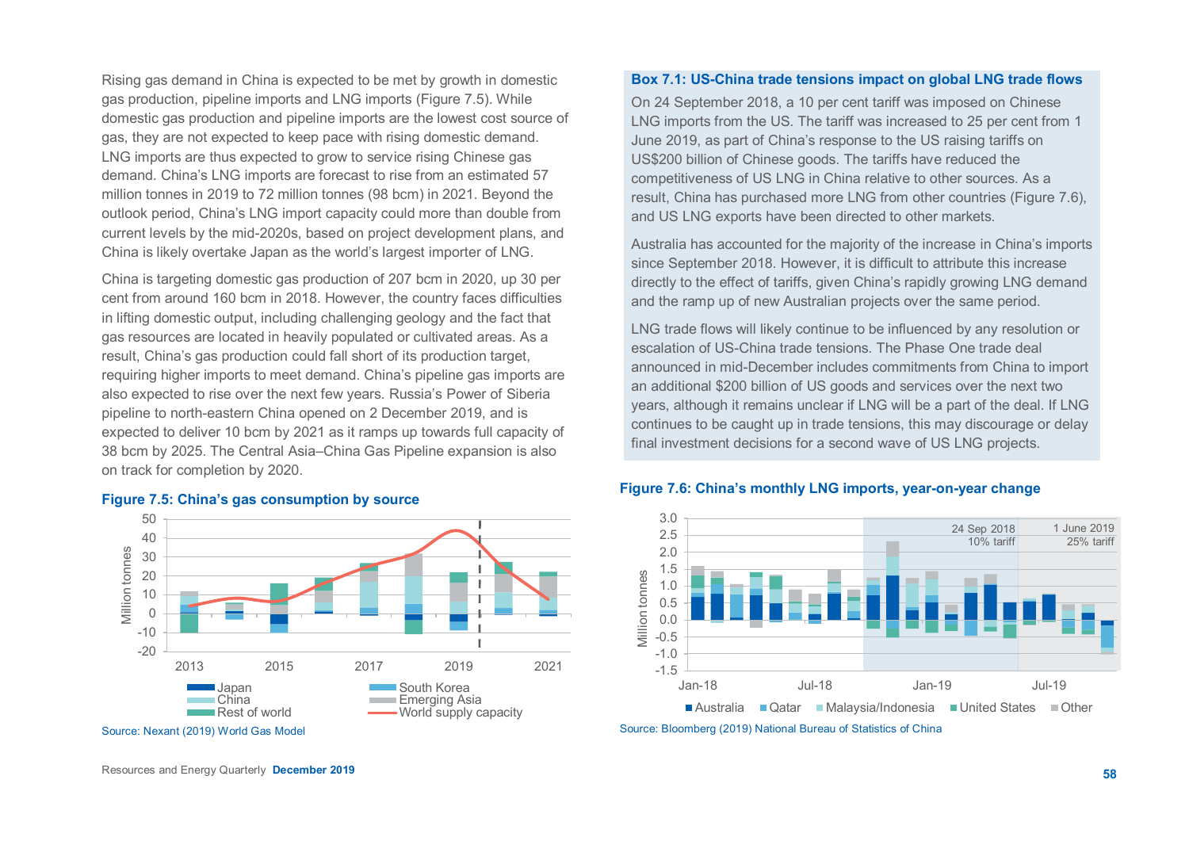Rising gas demand in China is expected to be met by growth in domestic gas production, pipeline imports and LNG imports (Figure 7.5). While domestic gas production and pipeline imports are the lowest cost source of gas, they are not expected to keep pace with rising domestic demand. LNG imports are thus expected to grow to service rising Chinese gas demand. China's LNG imports are forecast to rise from an estimated 57 million tonnes in 2019 to 72 million tonnes (98 bcm) in 2021. Beyond the outlook period, China's LNG import capacity could more than double from current levels by the mid-2020s, based on project development plans, and China is likely overtake Japan as the world's largest importer of LNG.

China is targeting domestic gas production of 207 bcm in 2020, up 30 per cent from around 160 bcm in 2018. However, the country faces difficulties in lifting domestic output, including challenging geology and the fact that gas resources are located in heavily populated or cultivated areas. As a result, China's gas production could fall short of its production target, requiring higher imports to meet demand. China's pipeline gas imports are also expected to rise over the next few years. Russia's Power of Siberia pipeline to north-eastern China opened on 2 December 2019, and is expected to deliver 10 bcm by 2021 as it ramps up towards full capacity of 38 bcm by 2025. The Central Asia–China Gas Pipeline expansion is also on track for completion by 2020.



#### **Figure 7.5: China's gas consumption by source**

#### **Box 7.1: US-China trade tensions impact on global LNG trade flows**

On 24 September 2018, a 10 per cent tariff was imposed on Chinese LNG imports from the US. The tariff was increased to 25 per cent from 1 June 2019, as part of China's response to the US raising tariffs on US\$200 billion of Chinese goods. The tariffs have reduced the competitiveness of US LNG in China relative to other sources. As a result, China has purchased more LNG from other countries (Figure 7.6), and US LNG exports have been directed to other markets.

Australia has accounted for the majority of the increase in China's imports since September 2018. However, it is difficult to attribute this increase directly to the effect of tariffs, given China's rapidly growing LNG demand and the ramp up of new Australian projects over the same period.

LNG trade flows will likely continue to be influenced by any resolution or escalation of US-China trade tensions. The Phase One trade deal announced in mid-December includes commitments from China to import an additional \$200 billion of US goods and services over the next two years, although it remains unclear if LNG will be a part of the deal. If LNG continues to be caught up in trade tensions, this may discourage or delay final investment decisions for a second wave of US LNG projects.



#### **Figure 7.6: China's monthly LNG imports, year-on-year change**

Source: Bloomberg (2019) National Bureau of Statistics of China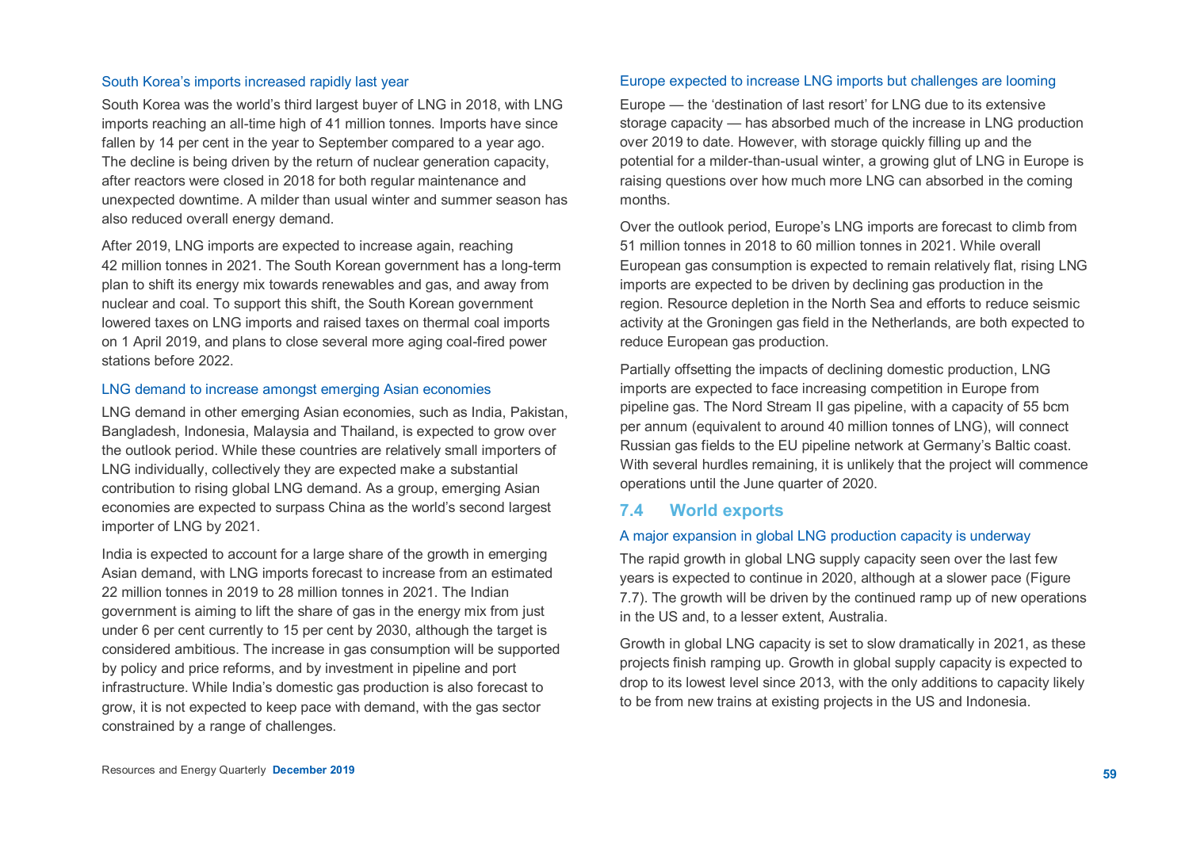## South Korea's imports increased rapidly last year

South Korea was the world's third largest buyer of LNG in 2018, with LNG imports reaching an all-time high of 41 million tonnes. Imports have since fallen by 14 per cent in the year to September compared to a year ago. The decline is being driven by the return of nuclear generation capacity, after reactors were closed in 2018 for both regular maintenance and unexpected downtime. A milder than usual winter and summer season has also reduced overall energy demand.

After 2019, LNG imports are expected to increase again, reaching 42 million tonnes in 2021. The South Korean government has a long-term plan to shift its energy mix towards renewables and gas, and away from nuclear and coal. To support this shift, the South Korean government lowered taxes on LNG imports and raised taxes on thermal coal imports on 1 April 2019, and plans to close several more aging coal-fired power stations before 2022.

#### LNG demand to increase amongst emerging Asian economies

LNG demand in other emerging Asian economies, such as India, Pakistan, Bangladesh, Indonesia, Malaysia and Thailand, is expected to grow over the outlook period. While these countries are relatively small importers of LNG individually, collectively they are expected make a substantial contribution to rising global LNG demand. As a group, emerging Asian economies are expected to surpass China as the world's second largest importer of LNG by 2021.

India is expected to account for a large share of the growth in emerging Asian demand, with LNG imports forecast to increase from an estimated 22 million tonnes in 2019 to 28 million tonnes in 2021. The Indian government is aiming to lift the share of gas in the energy mix from just under 6 per cent currently to 15 per cent by 2030, although the target is considered ambitious. The increase in gas consumption will be supported by policy and price reforms, and by investment in pipeline and port infrastructure. While India's domestic gas production is also forecast to grow, it is not expected to keep pace with demand, with the gas sector constrained by a range of challenges.

# Europe expected to increase LNG imports but challenges are looming

Europe — the 'destination of last resort' for LNG due to its extensive storage capacity — has absorbed much of the increase in LNG production over 2019 to date. However, with storage quickly filling up and the potential for a milder-than-usual winter, a growing glut of LNG in Europe is raising questions over how much more LNG can absorbed in the coming months.

Over the outlook period, Europe's LNG imports are forecast to climb from 51 million tonnes in 2018 to 60 million tonnes in 2021. While overall European gas consumption is expected to remain relatively flat, rising LNG imports are expected to be driven by declining gas production in the region. Resource depletion in the North Sea and efforts to reduce seismic activity at the Groningen gas field in the Netherlands, are both expected to reduce European gas production.

Partially offsetting the impacts of declining domestic production, LNG imports are expected to face increasing competition in Europe from pipeline gas. The Nord Stream II gas pipeline, with a capacity of 55 bcm per annum (equivalent to around 40 million tonnes of LNG), will connect Russian gas fields to the EU pipeline network at Germany's Baltic coast. With several hurdles remaining, it is unlikely that the project will commence operations until the June quarter of 2020.

# **7.4 World exports**

# A major expansion in global LNG production capacity is underway

The rapid growth in global LNG supply capacity seen over the last few years is expected to continue in 2020, although at a slower pace (Figure 7.7). The growth will be driven by the continued ramp up of new operations in the US and, to a lesser extent, Australia.

Growth in global LNG capacity is set to slow dramatically in 2021, as these projects finish ramping up. Growth in global supply capacity is expected to drop to its lowest level since 2013, with the only additions to capacity likely to be from new trains at existing projects in the US and Indonesia.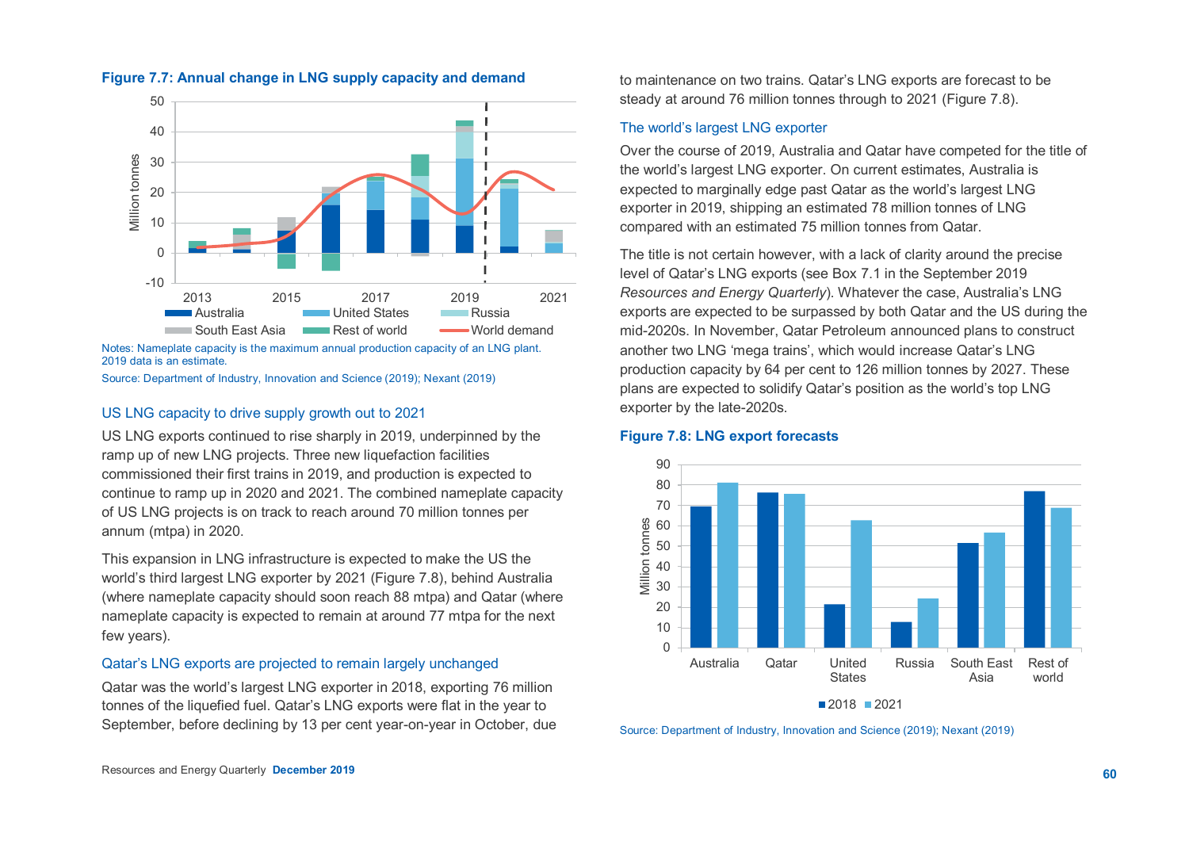

# **Figure 7.7: Annual change in LNG supply capacity and demand**

Notes: Nameplate capacity is the maximum annual production capacity of an LNG plant. 2019 data is an estimate.

Source: Department of Industry, Innovation and Science (2019); Nexant (2019)

### US LNG capacity to drive supply growth out to 2021

US LNG exports continued to rise sharply in 2019, underpinned by the ramp up of new LNG projects. Three new liquefaction facilities commissioned their first trains in 2019, and production is expected to continue to ramp up in 2020 and 2021. The combined nameplate capacity of US LNG projects is on track to reach around 70 million tonnes per annum (mtpa) in 2020.

This expansion in LNG infrastructure is expected to make the US the world's third largest LNG exporter by 2021 (Figure 7.8), behind Australia (where nameplate capacity should soon reach 88 mtpa) and Qatar (where nameplate capacity is expected to remain at around 77 mtpa for the next few years).

# Qatar's LNG exports are projected to remain largely unchanged

Qatar was the world's largest LNG exporter in 2018, exporting 76 million tonnes of the liquefied fuel. Qatar's LNG exports were flat in the year to September, before declining by 13 per cent year-on-year in October, due to maintenance on two trains. Qatar's LNG exports are forecast to be steady at around 76 million tonnes through to 2021 (Figure 7.8).

# The world's largest LNG exporter

Over the course of 2019, Australia and Qatar have competed for the title of the world's largest LNG exporter. On current estimates, Australia is expected to marginally edge past Qatar as the world's largest LNG exporter in 2019, shipping an estimated 78 million tonnes of LNG compared with an estimated 75 million tonnes from Qatar.

The title is not certain however, with a lack of clarity around the precise level of Qatar's LNG exports (see Box 7.1 in the September 2019 *Resources and Energy Quarterly*). Whatever the case, Australia's LNG exports are expected to be surpassed by both Qatar and the US during the mid-2020s. In November, Qatar Petroleum announced plans to construct another two LNG 'mega trains', which would increase Qatar's LNG production capacity by 64 per cent to 126 million tonnes by 2027. These plans are expected to solidify Qatar's position as the world's top LNG exporter by the late-2020s.

#### 90 80 70 **Million tonnes** Million tonnes 60 50 40 30 20 10  $\Omega$ Russia South East Australia Qatar United Rest of **States** Asia world

## **Figure 7.8: LNG export forecasts**

■2018 2021

Source: Department of Industry, Innovation and Science (2019); Nexant (2019)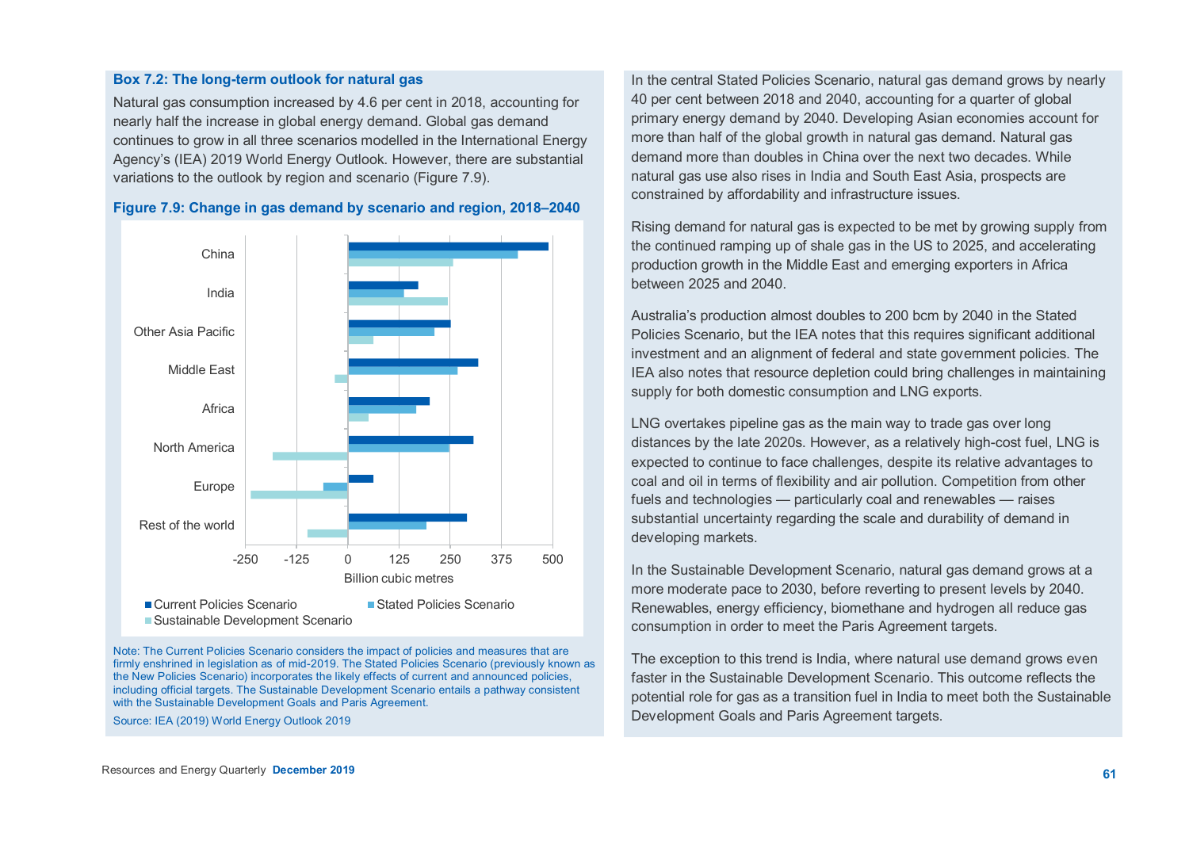#### **Box 7.2: The long-term outlook for natural gas**

Natural gas consumption increased by 4.6 per cent in 2018, accounting for nearly half the increase in global energy demand. Global gas demand continues to grow in all three scenarios modelled in the International Energy Agency's (IEA) 2019 World Energy Outlook. However, there are substantial variations to the outlook by region and scenario (Figure 7.9).



**Figure 7.9: Change in gas demand by scenario and region, 2018–2040**

Note: The Current Policies Scenario considers the impact of policies and measures that are firmly enshrined in legislation as of mid-2019. The Stated Policies Scenario (previously known as the New Policies Scenario) incorporates the likely effects of current and announced policies, including official targets. The Sustainable Development Scenario entails a pathway consistent with the Sustainable Development Goals and Paris Agreement.

Source: IEA (2019) World Energy Outlook 2019

In the central Stated Policies Scenario, natural gas demand grows by nearly 40 per cent between 2018 and 2040, accounting for a quarter of global primary energy demand by 2040. Developing Asian economies account for more than half of the global growth in natural gas demand. Natural gas demand more than doubles in China over the next two decades. While natural gas use also rises in India and South East Asia, prospects are constrained by affordability and infrastructure issues.

Rising demand for natural gas is expected to be met by growing supply from the continued ramping up of shale gas in the US to 2025, and accelerating production growth in the Middle East and emerging exporters in Africa between 2025 and 2040.

Australia's production almost doubles to 200 bcm by 2040 in the Stated Policies Scenario, but the IEA notes that this requires significant additional investment and an alignment of federal and state government policies. The IEA also notes that resource depletion could bring challenges in maintaining supply for both domestic consumption and LNG exports.

LNG overtakes pipeline gas as the main way to trade gas over long distances by the late 2020s. However, as a relatively high-cost fuel, LNG is expected to continue to face challenges, despite its relative advantages to coal and oil in terms of flexibility and air pollution. Competition from other fuels and technologies — particularly coal and renewables — raises substantial uncertainty regarding the scale and durability of demand in developing markets.

In the Sustainable Development Scenario, natural gas demand grows at a more moderate pace to 2030, before reverting to present levels by 2040. Renewables, energy efficiency, biomethane and hydrogen all reduce gas consumption in order to meet the Paris Agreement targets.

The exception to this trend is India, where natural use demand grows even faster in the Sustainable Development Scenario. This outcome reflects the potential role for gas as a transition fuel in India to meet both the Sustainable Development Goals and Paris Agreement targets.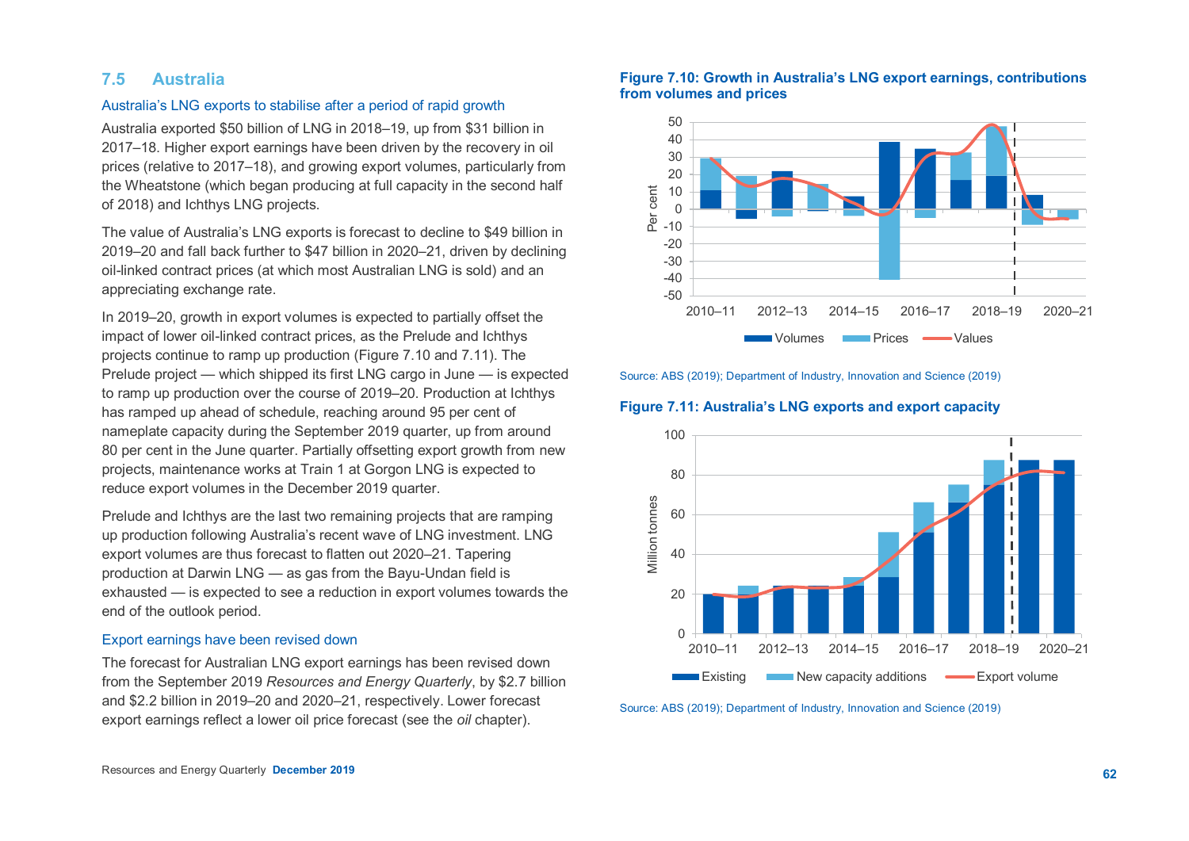# **7.5 Australia**

# Australia's LNG exports to stabilise after a period of rapid growth

Australia exported \$50 billion of LNG in 2018–19, up from \$31 billion in 2017–18. Higher export earnings have been driven by the recovery in oil prices (relative to 2017–18), and growing export volumes, particularly from the Wheatstone (which began producing at full capacity in the second half of 2018) and Ichthys LNG projects.

The value of Australia's LNG exports is forecast to decline to \$49 billion in 2019–20 and fall back further to \$47 billion in 2020–21, driven by declining oil-linked contract prices (at which most Australian LNG is sold) and an appreciating exchange rate.

In 2019–20, growth in export volumes is expected to partially offset the impact of lower oil-linked contract prices, as the Prelude and Ichthys projects continue to ramp up production (Figure 7.10 and 7.11). The Prelude project — which shipped its first LNG cargo in June — is expected to ramp up production over the course of 2019–20. Production at Ichthys has ramped up ahead of schedule, reaching around 95 per cent of nameplate capacity during the September 2019 quarter, up from around 80 per cent in the June quarter. Partially offsetting export growth from new projects, maintenance works at Train 1 at Gorgon LNG is expected to reduce export volumes in the December 2019 quarter.

Prelude and Ichthys are the last two remaining projects that are ramping up production following Australia's recent wave of LNG investment. LNG export volumes are thus forecast to flatten out 2020–21. Tapering production at Darwin LNG — as gas from the Bayu-Undan field is exhausted — is expected to see a reduction in export volumes towards the end of the outlook period.

## Export earnings have been revised down

The forecast for Australian LNG export earnings has been revised down from the September 2019 *Resources and Energy Quarterly*, by \$2.7 billion and \$2.2 billion in 2019–20 and 2020–21, respectively. Lower forecast export earnings reflect a lower oil price forecast (see the *oil* chapter).

# **Figure 7.10: Growth in Australia's LNG export earnings, contributions from volumes and prices**



Source: ABS (2019); Department of Industry, Innovation and Science (2019)

#### **Figure 7.11: Australia's LNG exports and export capacity**



Source: ABS (2019); Department of Industry, Innovation and Science (2019)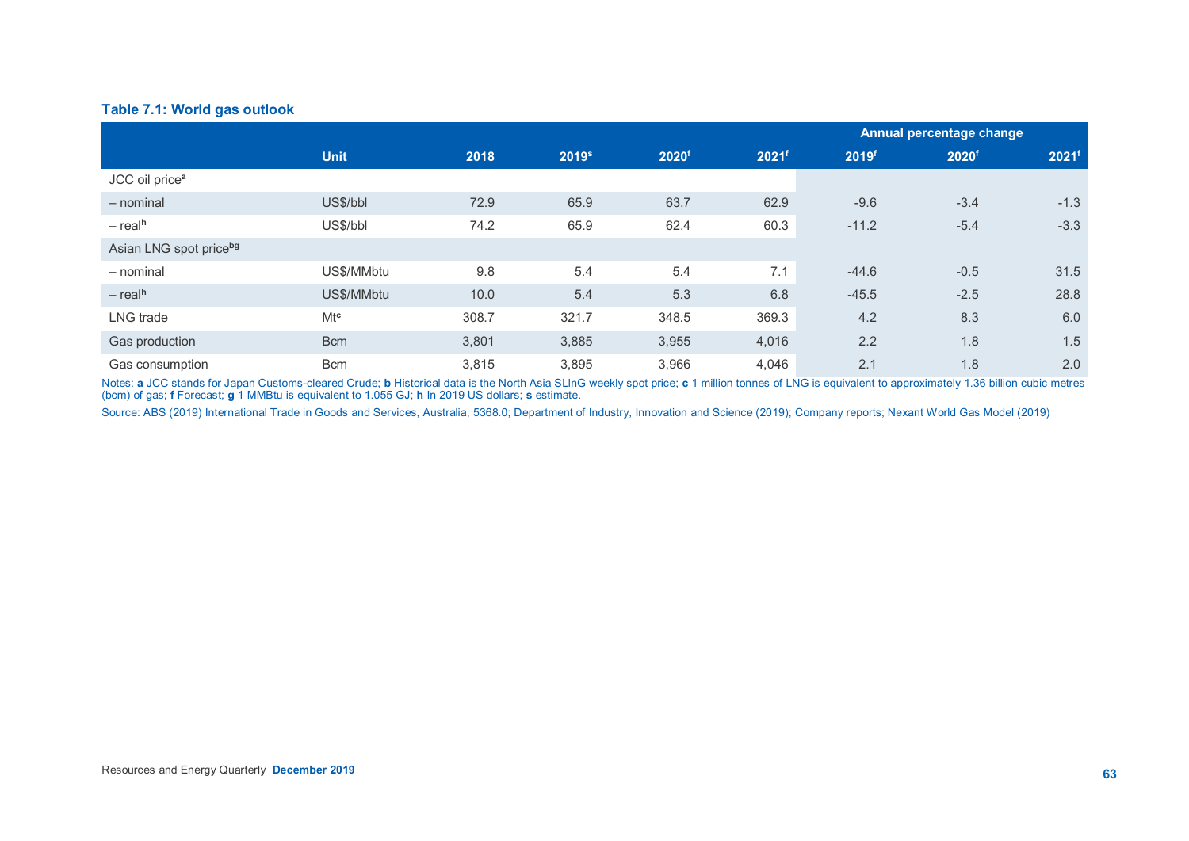# **Table 7.1: World gas outlook**

|                            |             |       |                   |                   |                   | Annual percentage change |                   |                   |
|----------------------------|-------------|-------|-------------------|-------------------|-------------------|--------------------------|-------------------|-------------------|
|                            | <b>Unit</b> | 2018  | 2019 <sup>s</sup> | 2020 <sup>f</sup> | 2021 <sup>f</sup> | 2019f                    | 2020 <sup>f</sup> | 2021 <sup>f</sup> |
| JCC oil price <sup>a</sup> |             |       |                   |                   |                   |                          |                   |                   |
| $-$ nominal                | US\$/bbl    | 72.9  | 65.9              | 63.7              | 62.9              | $-9.6$                   | $-3.4$            | $-1.3$            |
| $-$ real <sup>h</sup>      | US\$/bbl    | 74.2  | 65.9              | 62.4              | 60.3              | $-11.2$                  | $-5.4$            | $-3.3$            |
| Asian LNG spot priceba     |             |       |                   |                   |                   |                          |                   |                   |
| - nominal                  | US\$/MMbtu  | 9.8   | 5.4               | 5.4               | 7.1               | $-44.6$                  | $-0.5$            | 31.5              |
| $-$ real <sup>h</sup>      | US\$/MMbtu  | 10.0  | 5.4               | 5.3               | 6.8               | $-45.5$                  | $-2.5$            | 28.8              |
| LNG trade                  | $Mt^c$      | 308.7 | 321.7             | 348.5             | 369.3             | 4.2                      | 8.3               | 6.0               |
| Gas production             | <b>Bcm</b>  | 3,801 | 3,885             | 3,955             | 4,016             | 2.2                      | 1.8               | 1.5               |
| Gas consumption            | <b>Bcm</b>  | 3,815 | 3,895             | 3,966             | 4,046             | 2.1                      | 1.8               | 2.0               |

Notes: **a** JCC stands for Japan Customs-cleared Crude; **b** Historical data is the North Asia SLlnG weekly spot price; **c** 1 million tonnes of LNG is equivalent to approximately 1.36 billion cubic metres (bcm) of gas; **f** Forecast; **g** 1 MMBtu is equivalent to 1.055 GJ; **h** In 2019 US dollars; **s** estimate.

Source: ABS (2019) International Trade in Goods and Services, Australia, 5368.0; Department of Industry, Innovation and Science (2019); Company reports; Nexant World Gas Model (2019)